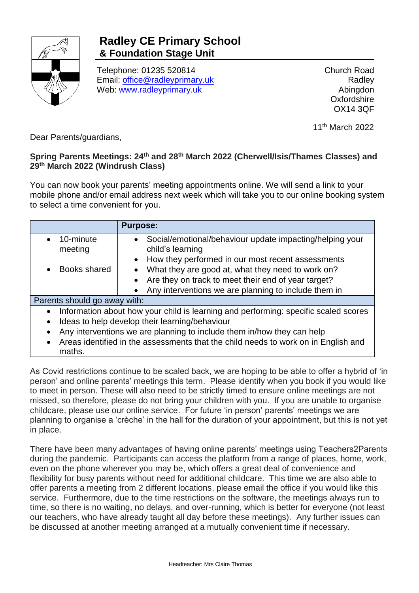

## **Radley CE Primary School & Foundation Stage Unit**

Telephone: 01235 520814 Email: [office@radleyprimary.uk](mailto:office@radleyprimary.uk) Web: [www.radleyprimary.uk](http://www.radleyprimary.uk/)

Church Road Radley Abingdon **Oxfordshire** OX14 3QF

11th March 2022

Dear Parents/guardians,

## **Spring Parents Meetings: 24th and 28th March 2022 (Cherwell/Isis/Thames Classes) and 29th March 2022 (Windrush Class)**

You can now book your parents' meeting appointments online. We will send a link to your mobile phone and/or email address next week which will take you to our online booking system to select a time convenient for you.

|                                                                                                  | <b>Purpose:</b>                                                                           |
|--------------------------------------------------------------------------------------------------|-------------------------------------------------------------------------------------------|
| 10-minute<br>meeting                                                                             | Social/emotional/behaviour update impacting/helping your<br>$\bullet$<br>child's learning |
|                                                                                                  | How they performed in our most recent assessments<br>$\bullet$                            |
| Books shared                                                                                     | What they are good at, what they need to work on?                                         |
|                                                                                                  | Are they on track to meet their end of year target?                                       |
|                                                                                                  | Any interventions we are planning to include them in                                      |
| Parents should go away with:                                                                     |                                                                                           |
| Information about how your child is learning and performing: specific scaled scores<br>$\bullet$ |                                                                                           |
| Ideas to help develop their learning/behaviour<br>$\bullet$                                      |                                                                                           |
| Any interventions we are planning to include them in/how they can help                           |                                                                                           |
| Areas identified in the assessments that the child needs to work on in English and<br>maths.     |                                                                                           |

As Covid restrictions continue to be scaled back, we are hoping to be able to offer a hybrid of 'in person' and online parents' meetings this term. Please identify when you book if you would like to meet in person. These will also need to be strictly timed to ensure online meetings are not missed, so therefore, please do not bring your children with you. If you are unable to organise childcare, please use our online service. For future 'in person' parents' meetings we are planning to organise a 'crèche' in the hall for the duration of your appointment, but this is not yet in place.

There have been many advantages of having online parents' meetings using Teachers2Parents during the pandemic. Participants can access the platform from a range of places, home, work, even on the phone wherever you may be, which offers a great deal of convenience and flexibility for busy parents without need for additional childcare. This time we are also able to offer parents a meeting from 2 different locations, please email the office if you would like this service. Furthermore, due to the time restrictions on the software, the meetings always run to time, so there is no waiting, no delays, and over-running, which is better for everyone (not least our teachers, who have already taught all day before these meetings). Any further issues can be discussed at another meeting arranged at a mutually convenient time if necessary.